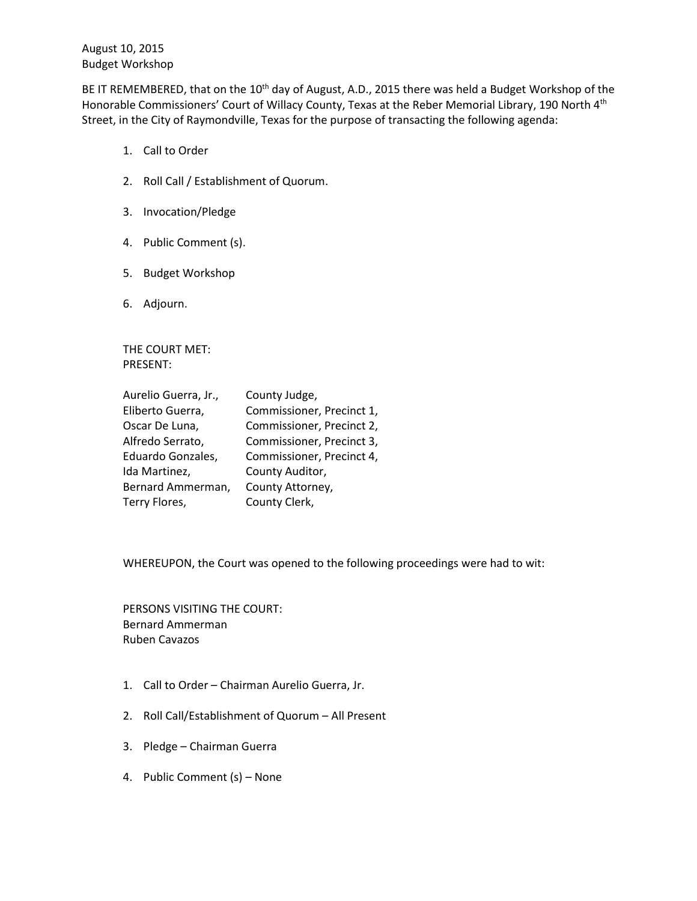August 10, 2015 Budget Workshop

BE IT REMEMBERED, that on the 10<sup>th</sup> day of August, A.D., 2015 there was held a Budget Workshop of the Honorable Commissioners' Court of Willacy County, Texas at the Reber Memorial Library, 190 North 4<sup>th</sup> Street, in the City of Raymondville, Texas for the purpose of transacting the following agenda:

- 1. Call to Order
- 2. Roll Call / Establishment of Quorum.
- 3. Invocation/Pledge
- 4. Public Comment (s).
- 5. Budget Workshop
- 6. Adjourn.

THE COURT MET: PRESENT:

| Aurelio Guerra, Jr., | County Judge,             |
|----------------------|---------------------------|
| Eliberto Guerra,     | Commissioner, Precinct 1, |
| Oscar De Luna,       | Commissioner, Precinct 2, |
| Alfredo Serrato,     | Commissioner, Precinct 3, |
| Eduardo Gonzales,    | Commissioner, Precinct 4, |
| Ida Martinez,        | County Auditor,           |
| Bernard Ammerman,    | County Attorney,          |
| Terry Flores,        | County Clerk,             |

WHEREUPON, the Court was opened to the following proceedings were had to wit:

PERSONS VISITING THE COURT: Bernard Ammerman Ruben Cavazos

- 1. Call to Order Chairman Aurelio Guerra, Jr.
- 2. Roll Call/Establishment of Quorum All Present
- 3. Pledge Chairman Guerra
- 4. Public Comment (s) None